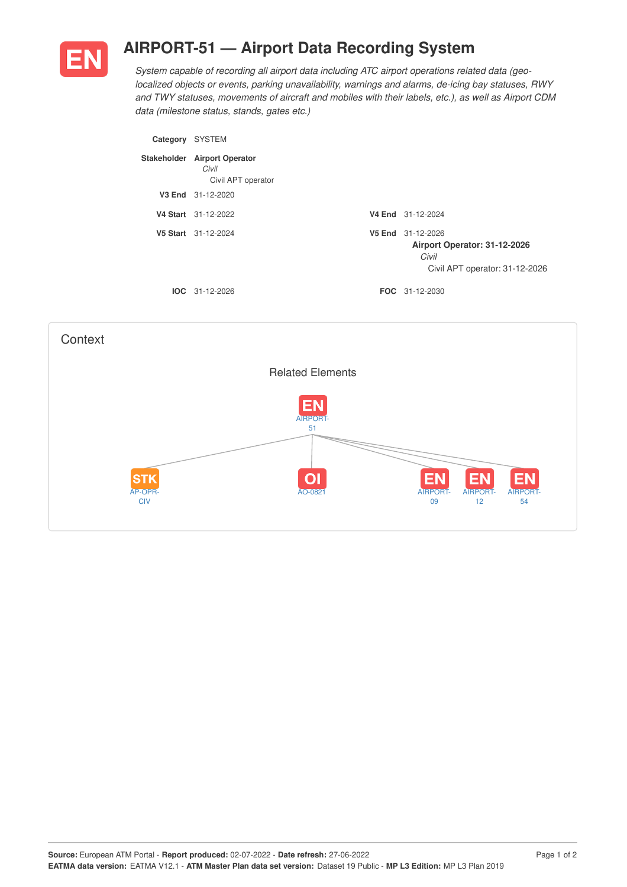

## **AIRPORT-51 — Airport Data Recording System**

*System capable of recording all airport data including ATC airport operations related data (geolocalized objects or events, parking unavailability, warnings and alarms, de-icing bay statuses, RWY and TWY statuses, movements of aircraft and mobiles with their labels, etc.), as well as Airport CDM data (milestone status, stands, gates etc.)*

| Category | <b>SYSTEM</b>                                               |                                                                                              |
|----------|-------------------------------------------------------------|----------------------------------------------------------------------------------------------|
|          | Stakeholder Airport Operator<br>Civil<br>Civil APT operator |                                                                                              |
|          | V3 End 31-12-2020                                           |                                                                                              |
|          | V4 Start 31-12-2022                                         | V4 End 31-12-2024                                                                            |
|          | V5 Start 31-12-2024                                         | V5 End 31-12-2026<br>Airport Operator: 31-12-2026<br>Civil<br>Civil APT operator: 31-12-2026 |
|          | $IOC 31-12-2026$                                            | <b>FOC</b> 31-12-2030                                                                        |